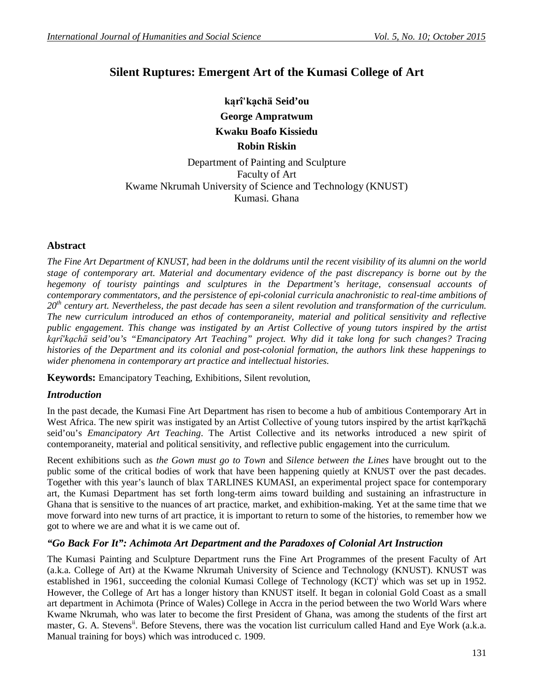# **Silent Ruptures: Emergent Art of the Kumasi College of Art**

**kąrî'kạchä Seid'ou George Ampratwum Kwaku Boafo Kissiedu Robin Riskin**

Department of Painting and Sculpture Faculty of Art Kwame Nkrumah University of Science and Technology (KNUST) Kumasi. Ghana

# **Abstract**

*The Fine Art Department of KNUST, had been in the doldrums until the recent visibility of its alumni on the world stage of contemporary art. Material and documentary evidence of the past discrepancy is borne out by the hegemony of touristy paintings and sculptures in the Department's heritage, consensual accounts of contemporary commentators, and the persistence of epi-colonial curricula anachronistic to real-time ambitions of 20th century art. Nevertheless, the past decade has seen a silent revolution and transformation of the curriculum. The new curriculum introduced an ethos of contemporaneity, material and political sensitivity and reflective public engagement. This change was instigated by an Artist Collective of young tutors inspired by the artist kąrî'kạchä seid'ou's "Emancipatory Art Teaching" project. Why did it take long for such changes? Tracing histories of the Department and its colonial and post-colonial formation, the authors link these happenings to wider phenomena in contemporary art practice and intellectual histories.*

**Keywords:** Emancipatory Teaching, Exhibitions, Silent revolution,

# *Introduction*

In the past decade, the Kumasi Fine Art Department has risen to become a hub of ambitious Contemporary Art in West Africa. The new spirit was instigated by an Artist Collective of young tutors inspired by the artist karî'kachä seid'ou's *Emancipatory Art Teaching*. The Artist Collective and its networks introduced a new spirit of contemporaneity, material and political sensitivity, and reflective public engagement into the curriculum.

Recent exhibitions such as *the Gown must go to Town* and *Silence between the Lines* have brought out to the public some of the critical bodies of work that have been happening quietly at KNUST over the past decades. Together with this year's launch of blax TARLINES KUMASI, an experimental project space for contemporary art, the Kumasi Department has set forth long-term aims toward building and sustaining an infrastructure in Ghana that is sensitive to the nuances of art practice, market, and exhibition-making. Yet at the same time that we move forward into new turns of art practice, it is important to return to some of the histories, to remember how we got to where we are and what it is we came out of.

# *"Go Back For It": Achimota Art Department and the Paradoxes of Colonial Art Instruction*

The Kumasi Painting and Sculpture Department runs the Fine Art Programmes of the present Faculty of Art (a.k.a. College of Art) at the Kwame Nkrumah University of Science and Technology (KNUST). KNUST was established in 1961, succeeding the colonial Kumasi College of Technology (KCT)<sup>i</sup> which was set up in 1952. However, the College of Art has a longer history than KNUST itself. It began in colonial Gold Coast as a small art department in Achimota (Prince of Wales) College in Accra in the period between the two World Wars where Kwame Nkrumah, who was later to become the first President of Ghana, was among the students of the first art master, G. A. Stevens<sup>ii</sup>. Before Stevens, there was the vocation list curriculum called Hand and Eye Work (a.k.a. Manual training for boys) which was introduced c. 1909.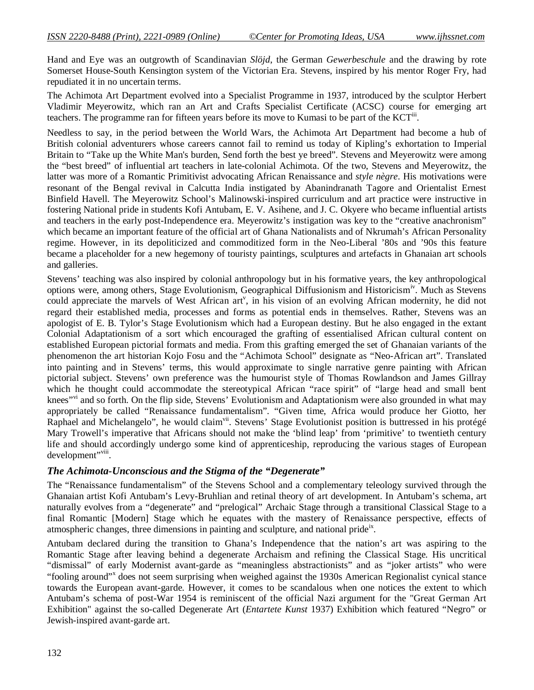Hand and Eye was an outgrowth of Scandinavian *Slöjd*, the German *Gewerbeschule* and the drawing by rote Somerset House-South Kensington system of the Victorian Era. Stevens, inspired by his mentor Roger Fry, had repudiated it in no uncertain terms.

The Achimota Art Department evolved into a Specialist Programme in 1937, introduced by the sculptor Herbert Vladimir Meyerowitz, which ran an Art and Crafts Specialist Certificate (ACSC) course for emerging art teachers. The programme ran for fifteen years before its move to Kumasi to be part of the  $KCT^{\text{iii}}$ .

Needless to say, in the period between the World Wars, the Achimota Art Department had become a hub of British colonial adventurers whose careers cannot fail to remind us today of Kipling's exhortation to Imperial Britain to "Take up the White Man's burden, Send forth the best ye breed". Stevens and Meyerowitz were among the "best breed" of influential art teachers in late-colonial Achimota. Of the two, Stevens and Meyerowitz, the latter was more of a Romantic Primitivist advocating African Renaissance and *style nègre*. His motivations were resonant of the Bengal revival in Calcutta India instigated by Abanindranath Tagore and Orientalist Ernest Binfield Havell. The Meyerowitz School's Malinowski-inspired curriculum and art practice were instructive in fostering National pride in students Kofi Antubam, E. V. Asihene, and J. C. Okyere who became influential artists and teachers in the early post-Independence era. Meyerowitz's instigation was key to the "creative anachronism" which became an important feature of the official art of Ghana Nationalists and of Nkrumah's African Personality regime. However, in its depoliticized and commoditized form in the Neo-Liberal '80s and '90s this feature became a placeholder for a new hegemony of touristy paintings, sculptures and artefacts in Ghanaian art schools and galleries.

Stevens' teaching was also inspired by colonial anthropology but in his formative years, the key anthropological options were, among others, Stage Evolutionism, Geographical Diffusionism and Historicism<sup>iv</sup>. Much as Stevens could appreciate the marvels of West African art<sup>y</sup>, in his vision of an evolving African modernity, he did not regard their established media, processes and forms as potential ends in themselves. Rather, Stevens was an apologist of E. B. Tylor's Stage Evolutionism which had a European destiny. But he also engaged in the extant Colonial Adaptationism of a sort which encouraged the grafting of essentialised African cultural content on established European pictorial formats and media. From this grafting emerged the set of Ghanaian variants of the phenomenon the art historian Kojo Fosu and the "Achimota School" designate as "Neo-African art". Translated into painting and in Stevens' terms, this would approximate to single narrative genre painting with African pictorial subject. Stevens' own preference was the humourist style of Thomas Rowlandson and James Gillray which he thought could accommodate the stereotypical African "race spirit" of "large head and small bent knees"<sup>vi</sup> and so forth. On the flip side, Stevens' Evolutionism and Adaptationism were also grounded in what may appropriately be called "Renaissance fundamentalism". "Given time, Africa would produce her Giotto, her Raphael and Michelangelo", he would claim<sup>vii</sup>. Stevens' Stage Evolutionist position is buttressed in his protégé Mary Trowell's imperative that Africans should not make the 'blind leap' from 'primitive' to twentieth century life and should accordingly undergo some kind of apprenticeship, reproducing the various stages of European development"<sup>viii</sup>.

#### *The Achimota-Unconscious and the Stigma of the "Degenerate"*

The "Renaissance fundamentalism" of the Stevens School and a complementary teleology survived through the Ghanaian artist Kofi Antubam's Levy-Bruhlian and retinal theory of art development. In Antubam's schema, art naturally evolves from a "degenerate" and "prelogical" Archaic Stage through a transitional Classical Stage to a final Romantic [Modern] Stage which he equates with the mastery of Renaissance perspective, effects of atmospheric changes, three dimensions in painting and sculpture, and national pride<sup>ix</sup>.

Antubam declared during the transition to Ghana's Independence that the nation's art was aspiring to the Romantic Stage after leaving behind a degenerate Archaism and refining the Classical Stage. His uncritical "dismissal" of early Modernist avant-garde as "meaningless abstractionists" and as "joker artists" who were "fooling around"<sup>x</sup> does not seem surprising when weighed against the 1930s American Regionalist cynical stance towards the European avant-garde. However, it comes to be scandalous when one notices the extent to which Antubam's schema of post-War 1954 is reminiscent of the official Nazi argument for the "Great German Art Exhibition" against the so-called Degenerate Art (*Entartete Kunst* 1937) Exhibition which featured "Negro" or Jewish-inspired avant-garde art.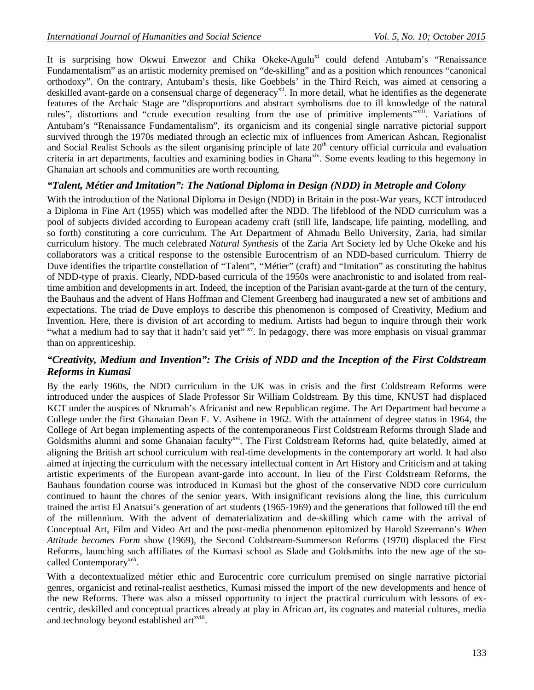It is surprising how Okwui Enwezor and Chika Okeke-Agulu<sup>xi</sup> could defend Antubam's "Renaissance Fundamentalism" as an artistic modernity premised on "de-skilling" and as a position which renounces "canonical orthodoxy". On the contrary, Antubam's thesis, like Goebbels' in the Third Reich, was aimed at censoring a deskilled avant-garde on a consensual charge of degeneracy<sup>xii</sup>. In more detail, what he identifies as the degenerate features of the Archaic Stage are "disproportions and abstract symbolisms due to ill knowledge of the natural rules", distortions and "crude execution resulting from the use of primitive implements"xiii. Variations of Antubam's "Renaissance Fundamentalism", its organicism and its congenial single narrative pictorial support survived through the 1970s mediated through an eclectic mix of influences from American Ashcan, Regionalist and Social Realist Schools as the silent organising principle of late 20<sup>th</sup> century official curricula and evaluation criteria in art departments, faculties and examining bodies in Ghana<sup>xiv</sup>. Some events leading to this hegemony in Ghanaian art schools and communities are worth recounting.

# *"Talent, Métier and Imitation": The National Diploma in Design (NDD) in Metrople and Colony*

With the introduction of the National Diploma in Design (NDD) in Britain in the post-War years, KCT introduced a Diploma in Fine Art (1955) which was modelled after the NDD. The lifeblood of the NDD curriculum was a pool of subjects divided according to European academy craft (still life, landscape, life painting, modelling, and so forth) constituting a core curriculum. The Art Department of Ahmadu Bello University, Zaria, had similar curriculum history. The much celebrated *Natural Synthesis* of the Zaria Art Society led by Uche Okeke and his collaborators was a critical response to the ostensible Eurocentrism of an NDD-based curriculum. Thierry de Duve identifies the tripartite constellation of "Talent", "Métier" (craft) and "Imitation" as constituting the habitus of NDD-type of praxis. Clearly, NDD-based curricula of the 1950s were anachronistic to and isolated from realtime ambition and developments in art. Indeed, the inception of the Parisian avant-garde at the turn of the century, the Bauhaus and the advent of Hans Hoffman and Clement Greenberg had inaugurated a new set of ambitions and expectations. The triad de Duve employs to describe this phenomenon is composed of Creativity, Medium and Invention. Here, there is division of art according to medium. Artists had begun to inquire through their work "what a medium had to say that it hadn't said yet" <sup>xv</sup>. In pedagogy, there was more emphasis on visual grammar than on apprenticeship.

## *"Creativity, Medium and Invention": The Crisis of NDD and the Inception of the First Coldstream Reforms in Kumasi*

By the early 1960s, the NDD curriculum in the UK was in crisis and the first Coldstream Reforms were introduced under the auspices of Slade Professor Sir William Coldstream. By this time, KNUST had displaced KCT under the auspices of Nkrumah's Africanist and new Republican regime. The Art Department had become a College under the first Ghanaian Dean E. V. Asihene in 1962. With the attainment of degree status in 1964, the College of Art began implementing aspects of the contemporaneous First Coldstream Reforms through Slade and Goldsmiths alumni and some Ghanaian faculty<sup>xvi</sup>. The First Coldstream Reforms had, quite belatedly, aimed at aligning the British art school curriculum with real-time developments in the contemporary art world. It had also aimed at injecting the curriculum with the necessary intellectual content in Art History and Criticism and at taking artistic experiments of the European avant-garde into account. In lieu of the First Coldstream Reforms, the Bauhaus foundation course was introduced in Kumasi but the ghost of the conservative NDD core curriculum continued to haunt the chores of the senior years. With insignificant revisions along the line, this curriculum trained the artist El Anatsui's generation of art students (1965-1969) and the generations that followed till the end of the millennium. With the advent of dematerialization and de-skilling which came with the arrival of Conceptual Art, Film and Video Art and the post-media phenomenon epitomized by Harold Szeemann's *When Attitude becomes Form* show (1969), the Second Coldstream-Summerson Reforms (1970) displaced the First Reforms, launching such affiliates of the Kumasi school as Slade and Goldsmiths into the new age of the socalled Contemporary*xvii* .

With a decontextualized métier ethic and Eurocentric core curriculum premised on single narrative pictorial genres, organicist and retinal-realist aesthetics, Kumasi missed the import of the new developments and hence of the new Reforms. There was also a missed opportunity to inject the practical curriculum with lessons of excentric, deskilled and conceptual practices already at play in African art, its cognates and material cultures, media and technology beyond established art<sup>xviii</sup>.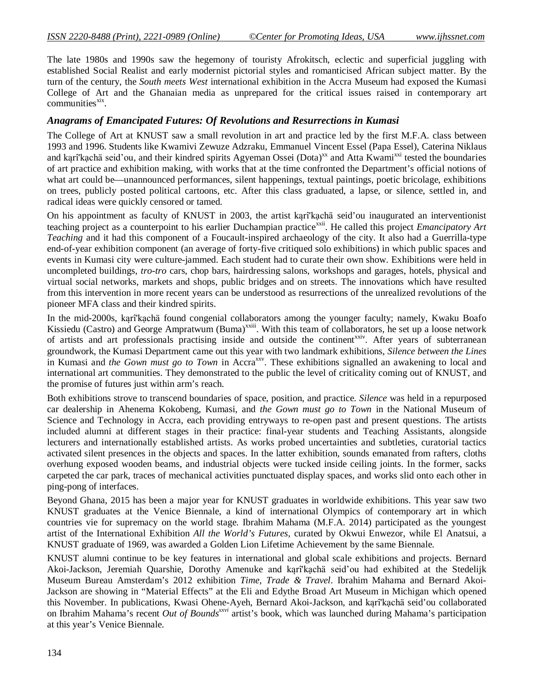The late 1980s and 1990s saw the hegemony of touristy Afrokitsch, eclectic and superficial juggling with established Social Realist and early modernist pictorial styles and romanticised African subject matter. By the turn of the century, the *South meets West* international exhibition in the Accra Museum had exposed the Kumasi College of Art and the Ghanaian media as unprepared for the critical issues raised in contemporary art  $commu nities$ <sup>xix</sup>.

#### *Anagrams of Emancipated Futures: Of Revolutions and Resurrections in Kumasi*

The College of Art at KNUST saw a small revolution in art and practice led by the first M.F.A. class between 1993 and 1996. Students like Kwamivi Zewuze Adzraku, Emmanuel Vincent Essel (Papa Essel), Caterina Niklaus and kąrî'kąchä seid'ou, and their kindred spirits Agyeman Ossei (Dota)<sup>xx</sup> and Atta Kwami<sup>xxi</sup> tested the boundaries of art practice and exhibition making, with works that at the time confronted the Department's official notions of what art could be—unannounced performances, silent happenings, textual paintings, poetic bricolage, exhibitions on trees, publicly posted political cartoons, etc. After this class graduated, a lapse, or silence, settled in, and radical ideas were quickly censored or tamed.

On his appointment as faculty of KNUST in 2003, the artist kąrî'kạchä seid'ou inaugurated an interventionist teaching project as a counterpoint to his earlier Duchampian practicexxii. He called this project *Emancipatory Art Teaching* and it had this component of a Foucault-inspired archaeology of the city. It also had a Guerrilla-type end-of-year exhibition component (an average of forty-five critiqued solo exhibitions) in which public spaces and events in Kumasi city were culture-jammed. Each student had to curate their own show. Exhibitions were held in uncompleted buildings, *tro-tro* cars, chop bars, hairdressing salons, workshops and garages, hotels, physical and virtual social networks, markets and shops, public bridges and on streets. The innovations which have resulted from this intervention in more recent years can be understood as resurrections of the unrealized revolutions of the pioneer MFA class and their kindred spirits.

In the mid-2000s, kąrî'kạchä found congenial collaborators among the younger faculty; namely, Kwaku Boafo Kissiedu (Castro) and George Ampratwum (Buma)<sup>xxiii</sup>. With this team of collaborators, he set up a loose network of artists and art professionals practising inside and outside the continent<sup>xxiv</sup>. After years of subterranean groundwork, the Kumasi Department came out this year with two landmark exhibitions, *Silence between the Lines* in Kumasi and *the Gown must go to Town* in Accra<sup>xxv</sup>. These exhibitions signalled an awakening to local and international art communities. They demonstrated to the public the level of criticality coming out of KNUST, and the promise of futures just within arm's reach.

Both exhibitions strove to transcend boundaries of space, position, and practice. *Silence* was held in a repurposed car dealership in Ahenema Kokobeng, Kumasi, and *the Gown must go to Town* in the National Museum of Science and Technology in Accra, each providing entryways to re-open past and present questions. The artists included alumni at different stages in their practice: final-year students and Teaching Assistants, alongside lecturers and internationally established artists. As works probed uncertainties and subtleties, curatorial tactics activated silent presences in the objects and spaces. In the latter exhibition, sounds emanated from rafters, cloths overhung exposed wooden beams, and industrial objects were tucked inside ceiling joints. In the former, sacks carpeted the car park, traces of mechanical activities punctuated display spaces, and works slid onto each other in ping-pong of interfaces.

Beyond Ghana, 2015 has been a major year for KNUST graduates in worldwide exhibitions. This year saw two KNUST graduates at the Venice Biennale, a kind of international Olympics of contemporary art in which countries vie for supremacy on the world stage. Ibrahim Mahama (M.F.A. 2014) participated as the youngest artist of the International Exhibition *All the World's Futures*, curated by Okwui Enwezor, while El Anatsui, a KNUST graduate of 1969, was awarded a Golden Lion Lifetime Achievement by the same Biennale.

KNUST alumni continue to be key features in international and global scale exhibitions and projects. Bernard Akoi-Jackson, Jeremiah Quarshie, Dorothy Amenuke and kąrî'kạchä seid'ou had exhibited at the Stedelijk Museum Bureau Amsterdam's 2012 exhibition *Time, Trade & Travel*. Ibrahim Mahama and Bernard Akoi-Jackson are showing in "Material Effects" at the Eli and Edythe Broad Art Museum in Michigan which opened this November. In publications, Kwasi Ohene-Ayeh, Bernard Akoi-Jackson, and kąrî'kạchä seid'ou collaborated on Ibrahim Mahama's recent *Out of Boundsxxvi* artist's book, which was launched during Mahama's participation at this year's Venice Biennale.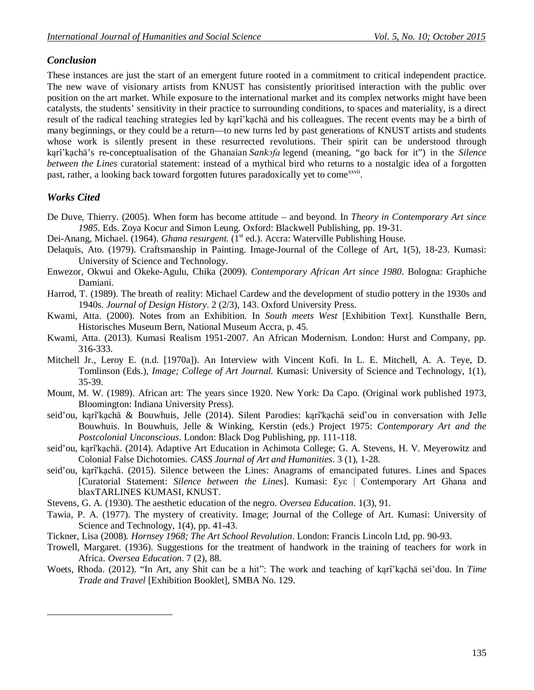# *Conclusion*

These instances are just the start of an emergent future rooted in a commitment to critical independent practice. The new wave of visionary artists from KNUST has consistently prioritised interaction with the public over position on the art market. While exposure to the international market and its complex networks might have been catalysts, the students' sensitivity in their practice to surrounding conditions, to spaces and materiality, is a direct result of the radical teaching strategies led by kąrî'kạchä and his colleagues. The recent events may be a birth of many beginnings, or they could be a return—to new turns led by past generations of KNUST artists and students whose work is silently present in these resurrected revolutions. Their spirit can be understood through kąrî'kạchä's re-conceptualisation of the Ghanaian *Sankͻfa* legend (meaning, "go back for it") in the *Silence between the Lines* curatorial statement: instead of a mythical bird who returns to a nostalgic idea of a forgotten past, rather, a looking back toward forgotten futures paradoxically yet to come<sup>xxvii</sup>.

## *Works Cited*

 $\overline{a}$ 

- De Duve, Thierry. (2005). When form has become attitude and beyond. In *Theory in Contemporary Art since 1985*. Eds. Zoya Kocur and Simon Leung. Oxford: Blackwell Publishing, pp. 19-31.
- Dei-Anang, Michael. (1964). *Ghana resurgent*. (1<sup>st</sup> ed.). Accra: Waterville Publishing House.
- Delaquis, Ato. (1979). Craftsmanship in Painting. Image-Journal of the College of Art, 1(5), 18-23. Kumasi: University of Science and Technology.
- Enwezor, Okwui and Okeke-Agulu, Chika (2009). *Contemporary African Art since 1980*. Bologna: Graphiche Damiani.
- Harrod, T. (1989). The breath of reality: Michael Cardew and the development of studio pottery in the 1930s and 1940s. *Journal of Design History*. 2 (2/3), 143. Oxford University Press.
- Kwami, Atta. (2000). Notes from an Exhibition. In *South meets West* [Exhibition Text]*.* Kunsthalle Bern, Historisches Museum Bern, National Museum Accra, p. 45.
- Kwami, Atta. (2013). Kumasi Realism 1951-2007. An African Modernism. London: Hurst and Company, pp. 316-333.
- Mitchell Jr., Leroy E. (n.d. [1970a]). An Interview with Vincent Kofi. In L. E. Mitchell, A. A. Teye, D. Tomlinson (Eds.), *Image; College of Art Journal.* Kumasi: University of Science and Technology, 1(1), 35-39.
- Mount, M. W. (1989). African art: The years since 1920. New York: Da Capo. (Original work published 1973, Bloomington: Indiana University Press).
- seid'ou, kąrî'kạchä & Bouwhuis, Jelle (2014). Silent Parodies: kąrî'kạchä seid'ou in conversation with Jelle Bouwhuis. In Bouwhuis, Jelle & Winking, Kerstin (eds.) Project 1975: *Contemporary Art and the Postcolonial Unconscious*. London: Black Dog Publishing, pp. 111-118.
- seid'ou, kąrî'kạchä. (2014). Adaptive Art Education in Achimota College; G. A. Stevens, H. V. Meyerowitz and Colonial False Dichotomies. *CASS Journal of Art and Humanities*. 3 (1), 1-28.
- seid'ou, kąrî'kạchä. (2015). Silence between the Lines: Anagrams of emancipated futures. Lines and Spaces [Curatorial Statement: *Silence between the Lines*]. Kumasi: Ɛyε | Contemporary Art Ghana and blaxTARLINES KUMASI, KNUST.
- Stevens, G. A. (1930). The aesthetic education of the negro. *Oversea Education*. 1(3), 91.
- Tawia, P. A. (1977). The mystery of creativity. Image; Journal of the College of Art. Kumasi: University of Science and Technology, 1(4), pp. 41-43.
- Tickner, Lisa (2008). *Hornsey 1968; The Art School Revolution*. London: Francis Lincoln Ltd, pp. 90-93.
- Trowell, Margaret. (1936). Suggestions for the treatment of handwork in the training of teachers for work in Africa. *Oversea Education*. 7 (2), 88.
- Woets, Rhoda. (2012). "In Art, any Shit can be a hit": The work and teaching of kąrî'kạchä sei'dou. In *Time Trade and Travel* [Exhibition Booklet], SMBA No. 129.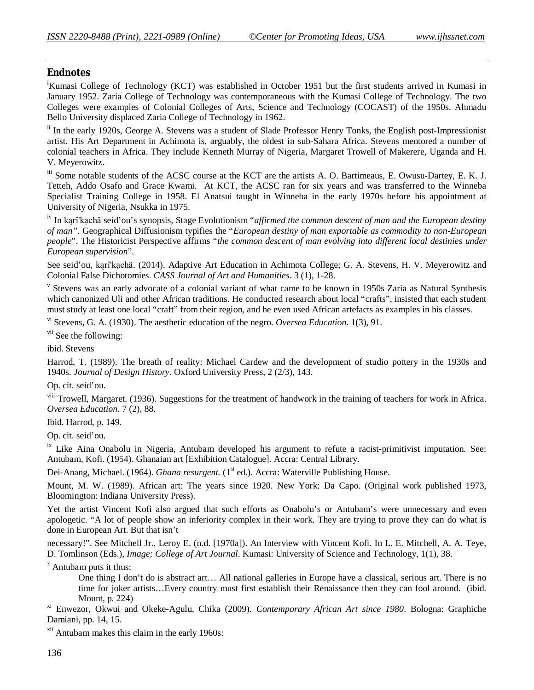## *Endnotes*

 $\overline{a}$ 

<sup>i</sup>Kumasi College of Technology (KCT) was established in October 1951 but the first students arrived in Kumasi in January 1952. Zaria College of Technology was contemporaneous with the Kumasi College of Technology. The two Colleges were examples of Colonial Colleges of Arts, Science and Technology (COCAST) of the 1950s. Ahmadu Bello University displaced Zaria College of Technology in 1962.

<sup>ii</sup> In the early 1920s, George A. Stevens was a student of Slade Professor Henry Tonks, the English post-Impressionist artist. His Art Department in Achimota is, arguably, the oldest in sub-Sahara Africa. Stevens mentored a number of colonial teachers in Africa. They include Kenneth Murray of Nigeria, Margaret Trowell of Makerere, Uganda and H. V. Meyerowitz.

iii Some notable students of the ACSC course at the KCT are the artists A. O. Bartimeaus, E. Owusu-Dartey, E. K. J. Tetteh, Addo Osafo and Grace Kwami. At KCT, the ACSC ran for six years and was transferred to the Winneba Specialist Training College in 1958. El Anatsui taught in Winneba in the early 1970s before his appointment at University of Nigeria, Nsukka in 1975.

iv In kąrî'kạchä seid'ou's synopsis, Stage Evolutionism "*affirmed the common descent of man and the European destiny of man"*. Geographical Diffusionism typifies the "*European destiny of man exportable as commodity to non-European people*". The Historicist Perspective affirms "*the common descent of man evolving into different local destinies under European supervision*".

See seid'ou, kąrî'kạchä. (2014). Adaptive Art Education in Achimota College; G. A. Stevens, H. V. Meyerowitz and Colonial False Dichotomies. *CASS Journal of Art and Humanities*. 3 (1), 1-28.

v Stevens was an early advocate of a colonial variant of what came to be known in 1950s Zaria as Natural Synthesis which canonized Uli and other African traditions. He conducted research about local "crafts", insisted that each student must study at least one local "craft" from their region, and he even used African artefacts as examples in his classes.

vi Stevens, G. A. (1930). The aesthetic education of the negro. *Oversea Education*. 1(3), 91.

<sup>vii</sup> See the following:

ibid. Stevens

Harrod, T. (1989). The breath of reality: Michael Cardew and the development of studio pottery in the 1930s and 1940s. *Journal of Design History*. Oxford University Press, 2 (2/3), 143.

Op. cit. seid'ou.

viii Trowell, Margaret. (1936). Suggestions for the treatment of handwork in the training of teachers for work in Africa. *Oversea Education*. 7 (2), 88.

Ibid. Harrod, p. 149.

Op. cit. seid'ou.

<sup>ix</sup> Like Aina Onabolu in Nigeria, Antubam developed his argument to refute a racist-primitivist imputation. See: Antubam, Kofi. (1954). Ghanaian art [Exhibition Catalogue]. Accra: Central Library.

Dei-Anang, Michael. (1964). *Ghana resurgent.* (1<sup>st</sup> ed.). Accra: Waterville Publishing House.

Mount, M. W. (1989). African art: The years since 1920. New York: Da Capo. (Original work published 1973, Bloomington: Indiana University Press).

Yet the artist Vincent Kofi also argued that such efforts as Onabolu's or Antubam's were unnecessary and even apologetic. "A lot of people show an inferiority complex in their work. They are trying to prove they can do what is done in European Art. But that isn't

necessary!". See Mitchell Jr., Leroy E. (n.d. [1970a]). An Interview with Vincent Kofi. In L. E. Mitchell, A. A. Teye, D. Tomlinson (Eds.), *Image; College of Art Journal*. Kumasi: University of Science and Technology, 1(1), 38.

 $\overline{X}$  Antubam puts it thus:

One thing I don't do is abstract art… All national galleries in Europe have a classical, serious art. There is no time for joker artists…Every country must first establish their Renaissance then they can fool around. (ibid. Mount, p. 224)

xi Enwezor, Okwui and Okeke-Agulu, Chika (2009). *Contemporary African Art since 1980*. Bologna: Graphiche Damiani, pp. 14, 15.

xii Antubam makes this claim in the early 1960s: